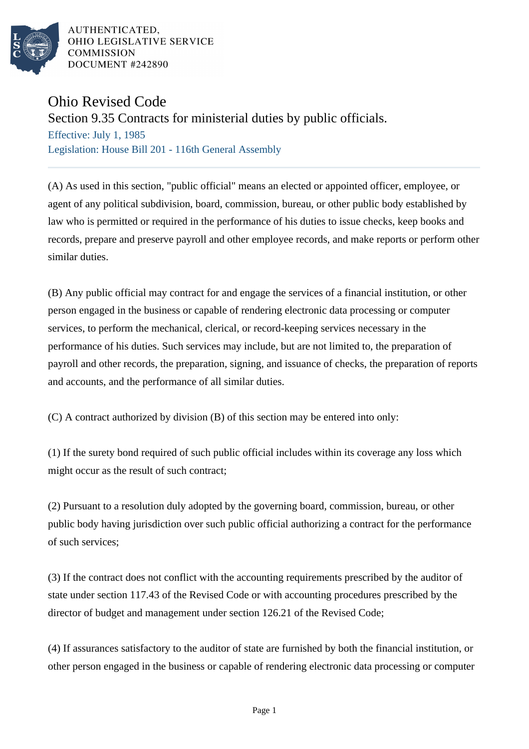

AUTHENTICATED. OHIO LEGISLATIVE SERVICE **COMMISSION** DOCUMENT #242890

## Ohio Revised Code

Section 9.35 Contracts for ministerial duties by public officials.

Effective: July 1, 1985 Legislation: House Bill 201 - 116th General Assembly

(A) As used in this section, "public official" means an elected or appointed officer, employee, or agent of any political subdivision, board, commission, bureau, or other public body established by law who is permitted or required in the performance of his duties to issue checks, keep books and records, prepare and preserve payroll and other employee records, and make reports or perform other similar duties.

(B) Any public official may contract for and engage the services of a financial institution, or other person engaged in the business or capable of rendering electronic data processing or computer services, to perform the mechanical, clerical, or record-keeping services necessary in the performance of his duties. Such services may include, but are not limited to, the preparation of payroll and other records, the preparation, signing, and issuance of checks, the preparation of reports and accounts, and the performance of all similar duties.

(C) A contract authorized by division (B) of this section may be entered into only:

(1) If the surety bond required of such public official includes within its coverage any loss which might occur as the result of such contract;

(2) Pursuant to a resolution duly adopted by the governing board, commission, bureau, or other public body having jurisdiction over such public official authorizing a contract for the performance of such services;

(3) If the contract does not conflict with the accounting requirements prescribed by the auditor of state under section 117.43 of the Revised Code or with accounting procedures prescribed by the director of budget and management under section 126.21 of the Revised Code;

(4) If assurances satisfactory to the auditor of state are furnished by both the financial institution, or other person engaged in the business or capable of rendering electronic data processing or computer